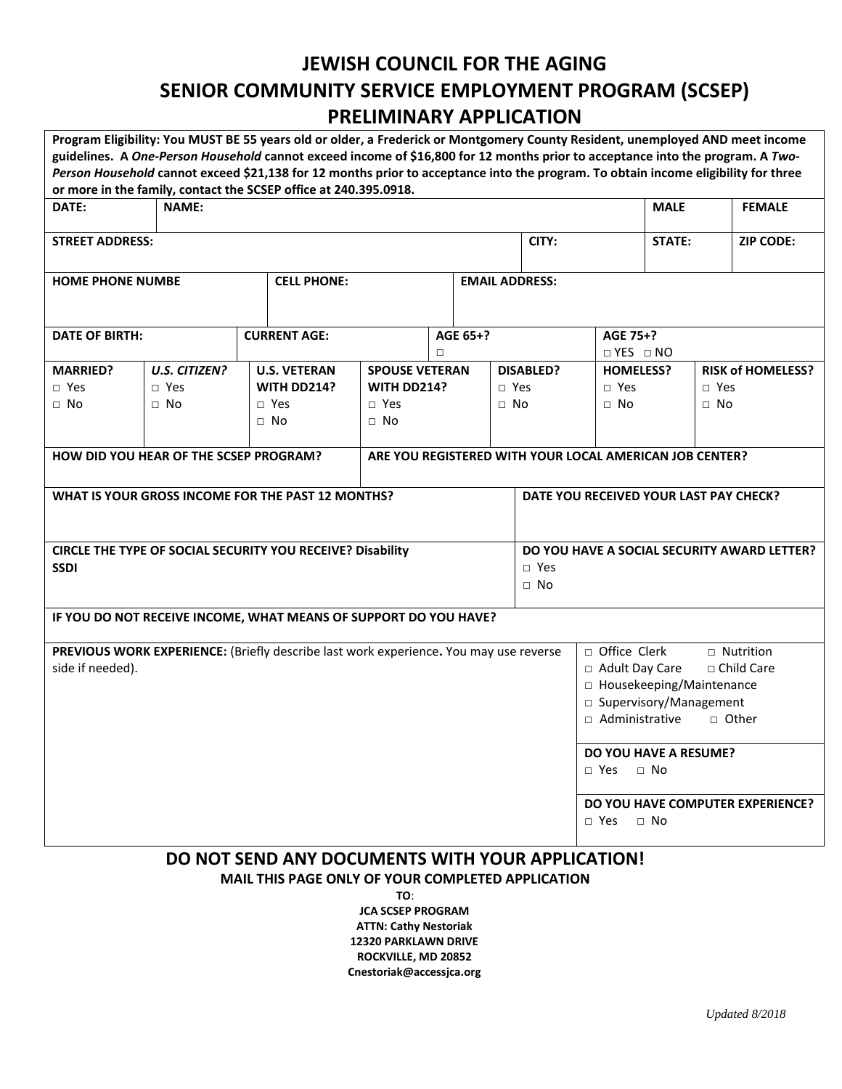## **JEWISH COUNCIL FOR THE AGING SENIOR COMMUNITY SERVICE EMPLOYMENT PROGRAM (SCSEP) PRELIMINARY APPLICATION**

| Program Eligibility: You MUST BE 55 years old or older, a Frederick or Montgomery County Resident, unemployed AND meet income                                                                          |                      |                     |                       |                    |          |                       |            |                                             |                      |  |                          |  |
|--------------------------------------------------------------------------------------------------------------------------------------------------------------------------------------------------------|----------------------|---------------------|-----------------------|--------------------|----------|-----------------------|------------|---------------------------------------------|----------------------|--|--------------------------|--|
| guidelines. A One-Person Household cannot exceed income of \$16,800 for 12 months prior to acceptance into the program. A Two-                                                                         |                      |                     |                       |                    |          |                       |            |                                             |                      |  |                          |  |
| Person Household cannot exceed \$21,138 for 12 months prior to acceptance into the program. To obtain income eligibility for three<br>or more in the family, contact the SCSEP office at 240.395.0918. |                      |                     |                       |                    |          |                       |            |                                             |                      |  |                          |  |
| DATE:                                                                                                                                                                                                  | <b>NAME:</b>         |                     |                       |                    |          |                       |            |                                             | <b>MALE</b>          |  | <b>FEMALE</b>            |  |
| <b>STREET ADDRESS:</b>                                                                                                                                                                                 |                      |                     |                       |                    |          |                       | CITY:      |                                             | <b>STATE:</b>        |  | <b>ZIP CODE:</b>         |  |
|                                                                                                                                                                                                        |                      |                     |                       |                    |          |                       |            |                                             |                      |  |                          |  |
| <b>HOME PHONE NUMBE</b>                                                                                                                                                                                |                      |                     | <b>CELL PHONE:</b>    |                    |          | <b>EMAIL ADDRESS:</b> |            |                                             |                      |  |                          |  |
| <b>DATE OF BIRTH:</b>                                                                                                                                                                                  |                      | <b>CURRENT AGE:</b> |                       |                    | AGE 65+? |                       | AGE 75+?   |                                             |                      |  |                          |  |
|                                                                                                                                                                                                        |                      |                     | п                     |                    |          |                       |            |                                             | $\Box$ YES $\Box$ NO |  |                          |  |
| <b>MARRIED?</b>                                                                                                                                                                                        | <b>U.S. CITIZEN?</b> | <b>U.S. VETERAN</b> | <b>SPOUSE VETERAN</b> |                    |          | <b>DISABLED?</b>      |            | <b>HOMELESS?</b>                            |                      |  | <b>RISK of HOMELESS?</b> |  |
| $\Box$ Yes                                                                                                                                                                                             | $\Box$ Yes           | WITH DD214?         |                       | <b>WITH DD214?</b> |          |                       | $\Box$ Yes | $\Box$ Yes                                  | $\Box$ Yes           |  |                          |  |
| $\Box$ No                                                                                                                                                                                              | $\Box$ No            | □ Yes               |                       | $\Box$ Yes         |          |                       | $\Box$ No  | $\Box$ No                                   | $\Box$ No            |  |                          |  |
|                                                                                                                                                                                                        |                      | $\Box$ No           | $\Box$ No             |                    |          |                       |            |                                             |                      |  |                          |  |
| ARE YOU REGISTERED WITH YOUR LOCAL AMERICAN JOB CENTER?<br>HOW DID YOU HEAR OF THE SCSEP PROGRAM?                                                                                                      |                      |                     |                       |                    |          |                       |            |                                             |                      |  |                          |  |
| WHAT IS YOUR GROSS INCOME FOR THE PAST 12 MONTHS?                                                                                                                                                      |                      |                     |                       |                    |          |                       |            | DATE YOU RECEIVED YOUR LAST PAY CHECK?      |                      |  |                          |  |
|                                                                                                                                                                                                        |                      |                     |                       |                    |          |                       |            |                                             |                      |  |                          |  |
| CIRCLE THE TYPE OF SOCIAL SECURITY YOU RECEIVE? Disability                                                                                                                                             |                      |                     |                       |                    |          |                       |            | DO YOU HAVE A SOCIAL SECURITY AWARD LETTER? |                      |  |                          |  |
| <b>SSDI</b><br>$\Box$ Yes                                                                                                                                                                              |                      |                     |                       |                    |          |                       |            |                                             |                      |  |                          |  |
| $\Box$ No                                                                                                                                                                                              |                      |                     |                       |                    |          |                       |            |                                             |                      |  |                          |  |
| IF YOU DO NOT RECEIVE INCOME, WHAT MEANS OF SUPPORT DO YOU HAVE?                                                                                                                                       |                      |                     |                       |                    |          |                       |            |                                             |                      |  |                          |  |
| PREVIOUS WORK EXPERIENCE: (Briefly describe last work experience. You may use reverse                                                                                                                  |                      |                     |                       |                    |          |                       |            | □ Office Clerk<br>$\Box$ Nutrition          |                      |  |                          |  |
| side if needed).                                                                                                                                                                                       |                      |                     |                       |                    |          |                       |            | □ Adult Day Care<br>□ Child Care            |                      |  |                          |  |
|                                                                                                                                                                                                        |                      |                     |                       |                    |          |                       |            | □ Housekeeping/Maintenance                  |                      |  |                          |  |
|                                                                                                                                                                                                        |                      |                     |                       |                    |          |                       |            | □ Supervisory/Management                    |                      |  |                          |  |
|                                                                                                                                                                                                        |                      |                     |                       |                    |          |                       |            | □ Administrative<br>$\sqcap$ Other          |                      |  |                          |  |
|                                                                                                                                                                                                        |                      |                     |                       |                    |          |                       |            | DO YOU HAVE A RESUME?                       |                      |  |                          |  |
|                                                                                                                                                                                                        |                      |                     |                       |                    |          |                       |            | $\sqcap$ No<br>$\sqcap$ Yes                 |                      |  |                          |  |
|                                                                                                                                                                                                        |                      |                     |                       |                    |          |                       |            | DO YOU HAVE COMPUTER EXPERIENCE?            |                      |  |                          |  |
|                                                                                                                                                                                                        |                      |                     |                       |                    |          |                       |            | $\Box$ No<br>□ Yes                          |                      |  |                          |  |
| DO NOT SEND ANY DOCUMENTS WITH YOUR APPLICATION!                                                                                                                                                       |                      |                     |                       |                    |          |                       |            |                                             |                      |  |                          |  |

**MAIL THIS PAGE ONLY OF YOUR COMPLETED APPLICATION** 

**TO**: **JCA SCSEP PROGRAM ATTN: Cathy Nestoriak 12320 PARKLAWN DRIVE ROCKVILLE, MD 20852 Cnestoriak@accessjca.org**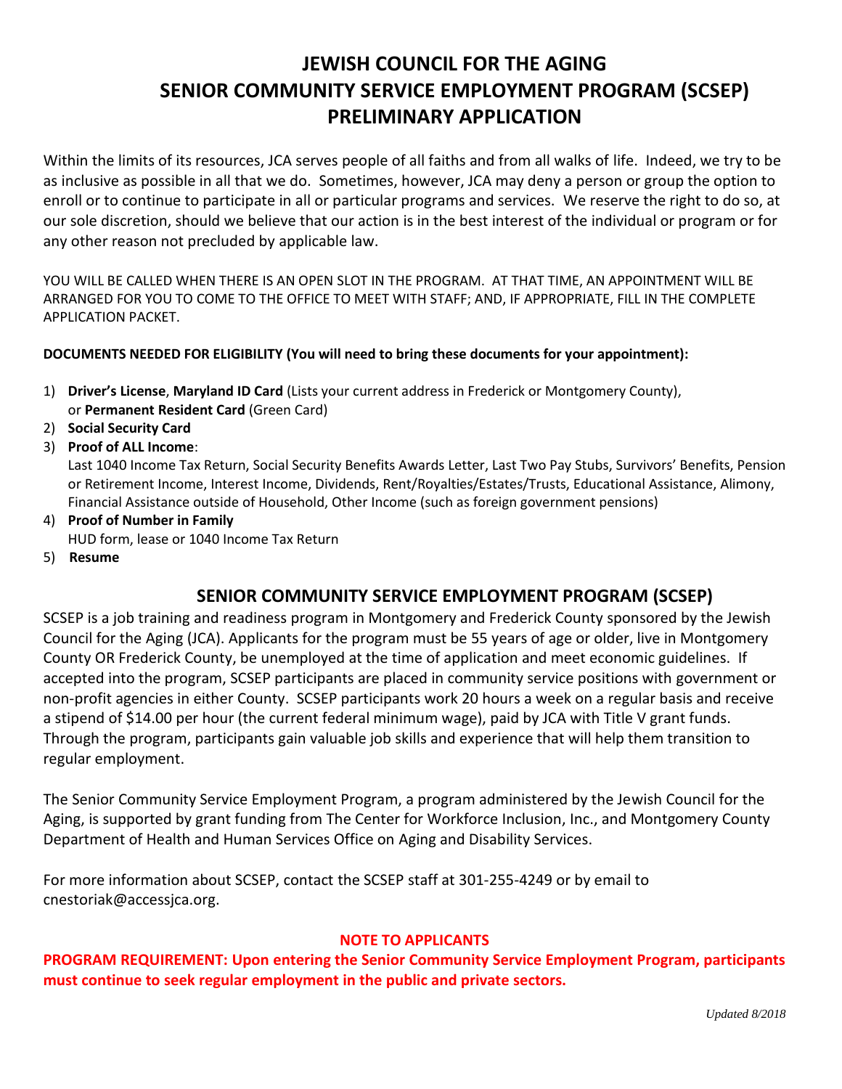# **JEWISH COUNCIL FOR THE AGING SENIOR COMMUNITY SERVICE EMPLOYMENT PROGRAM (SCSEP) PRELIMINARY APPLICATION**

Within the limits of its resources, JCA serves people of all faiths and from all walks of life. Indeed, we try to be as inclusive as possible in all that we do. Sometimes, however, JCA may deny a person or group the option to enroll or to continue to participate in all or particular programs and services. We reserve the right to do so, at our sole discretion, should we believe that our action is in the best interest of the individual or program or for any other reason not precluded by applicable law.

YOU WILL BE CALLED WHEN THERE IS AN OPEN SLOT IN THE PROGRAM. AT THAT TIME, AN APPOINTMENT WILL BE ARRANGED FOR YOU TO COME TO THE OFFICE TO MEET WITH STAFF; AND, IF APPROPRIATE, FILL IN THE COMPLETE APPLICATION PACKET.

#### **DOCUMENTS NEEDED FOR ELIGIBILITY (You will need to bring these documents for your appointment):**

- 1) **Driver's License**, **Maryland ID Card** (Lists your current address in Frederick or Montgomery County), or **Permanent Resident Card** (Green Card)
- 2) **Social Security Card**
- 3) **Proof of ALL Income**:

Last 1040 Income Tax Return, Social Security Benefits Awards Letter, Last Two Pay Stubs, Survivors' Benefits, Pension or Retirement Income, Interest Income, Dividends, Rent/Royalties/Estates/Trusts, Educational Assistance, Alimony, Financial Assistance outside of Household, Other Income (such as foreign government pensions)

- 4) **Proof of Number in Family** HUD form, lease or 1040 Income Tax Return
- 5) **Resume**

### **SENIOR COMMUNITY SERVICE EMPLOYMENT PROGRAM (SCSEP)**

SCSEP is a job training and readiness program in Montgomery and Frederick County sponsored by the Jewish Council for the Aging (JCA). Applicants for the program must be 55 years of age or older, live in Montgomery County OR Frederick County, be unemployed at the time of application and meet economic guidelines. If accepted into the program, SCSEP participants are placed in community service positions with government or non-profit agencies in either County. SCSEP participants work 20 hours a week on a regular basis and receive a stipend of \$14.00 per hour (the current federal minimum wage), paid by JCA with Title V grant funds. Through the program, participants gain valuable job skills and experience that will help them transition to regular employment.

The Senior Community Service Employment Program, a program administered by the Jewish Council for the Aging, is supported by grant funding from The Center for Workforce Inclusion, Inc., and Montgomery County Department of Health and Human Services Office on Aging and Disability Services.

For more information about SCSEP, contact the SCSEP staff at 301-255-4249 or by email to cnestoriak@accessjca.org.

#### **NOTE TO APPLICANTS**

**PROGRAM REQUIREMENT: Upon entering the Senior Community Service Employment Program, participants must continue to seek regular employment in the public and private sectors.**